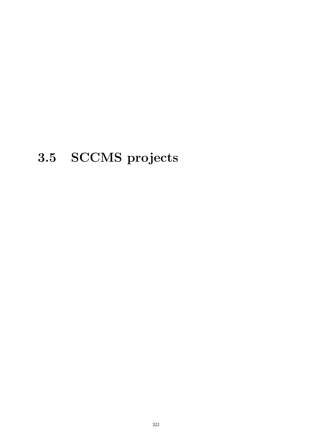# **3.5 SCCMS projects**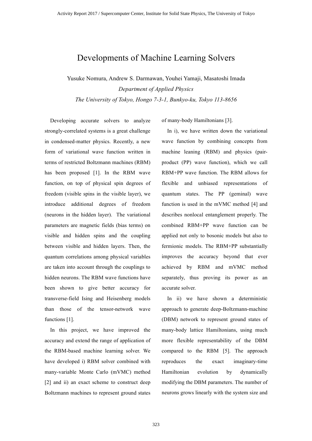### Developments of Machine Learning Solvers

Yusuke Nomura, Andrew S. Darmawan, Youhei Yamaji, Masatoshi Imada *Department of Applied Physics The University of Tokyo, Hongo 7-3-1, Bunkyo-ku, Tokyo 113-8656*

 Developing accurate solvers to analyze strongly-correlated systems is a great challenge in condensed-matter physics. Recently, a new form of variational wave function written in terms of restricted Boltzmann machines (RBM) has been proposed [1]. In the RBM wave function, on top of physical spin degrees of freedom (visible spins in the visible layer), we introduce additional degrees of freedom (neurons in the hidden layer). The variational parameters are magnetic fields (bias terms) on visible and hidden spins and the coupling between visible and hidden layers. Then, the quantum correlations among physical variables are taken into account through the couplings to hidden neurons. The RBM wave functions have been shown to give better accuracy for transverse-field Ising and Heisenberg models than those of the tensor-network wave functions [1].

 In this project, we have improved the accuracy and extend the range of application of the RBM-based machine learning solver. We have developed i) RBM solver combined with many-variable Monte Carlo (mVMC) method [2] and ii) an exact scheme to construct deep Boltzmann machines to represent ground states

of many-body Hamiltonians [3].

 In i), we have written down the variational wave function by combining concepts from machine leaning (RBM) and physics (pairproduct (PP) wave function), which we call RBM+PP wave function. The RBM allows for flexible and unbiased representations of quantum states. The PP (geminal) wave function is used in the mVMC method [4] and describes nonlocal entanglement properly. The combined RBM+PP wave function can be applied not only to bosonic models but also to fermionic models. The RBM+PP substantially improves the accuracy beyond that ever achieved by RBM and mVMC method separately, thus proving its power as an accurate solver.

 In ii) we have shown a deterministic approach to generate deep-Boltzmann-machine (DBM) network to represent ground states of many-body lattice Hamiltonians, using much more flexible representability of the DBM compared to the RBM [5]. The approach reproduces the exact imaginary-time Hamiltonian evolution by dynamically modifying the DBM parameters. The number of neurons grows linearly with the system size and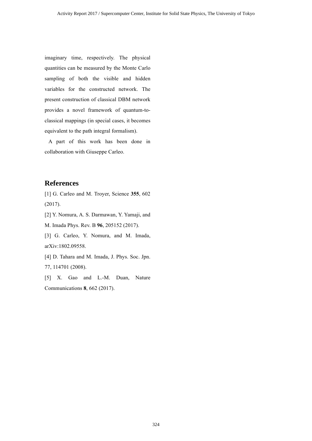imaginary time, respectively. The physical quantities can be measured by the Monte Carlo sampling of both the visible and hidden variables for the constructed network. The present construction of classical DBM network provides a novel framework of quantum-toclassical mappings (in special cases, it becomes equivalent to the path integral formalism).

 A part of this work has been done in collaboration with Giuseppe Carleo.

#### **References**

[1] G. Carleo and M. Troyer, Science **355**, 602 (2017).

[2] Y. Nomura, A. S. Darmawan, Y. Yamaji, and M. Imada Phys. Rev. B **96**, 205152 (2017).

[3] G. Carleo, Y. Nomura, and M. Imada, arXiv:1802.09558.

[4] D. Tahara and M. Imada, J. Phys. Soc. Jpn. 77, 114701 (2008).

[5] X. Gao and L.-M. Duan, Nature Communications **8**, 662 (2017).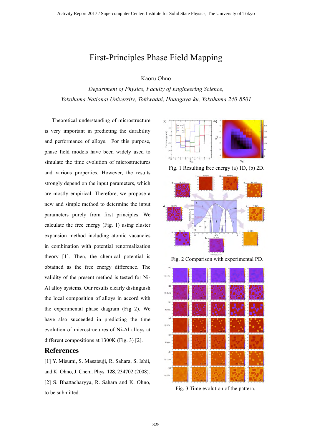### First-Principles Phase Field Mapping

#### Kaoru Ohno

*Department of Physics, Faculty of Engineering Science, Yokohama National University, Tokiwadai, Hodogaya-ku, Yokohama 240-8501*

Theoretical understanding of microstructure is very important in predicting the durability and performance of alloys. For this purpose, phase field models have been widely used to simulate the time evolution of microstructures and various properties. However, the results strongly depend on the input parameters, which are mostly empirical. Therefore, we propose a new and simple method to determine the input parameters purely from first principles. We calculate the free energy (Fig. 1) using cluster expansion method including atomic vacancies in combination with potential renormalization theory [1]. Then, the chemical potential is obtained as the free energy difference. The validity of the present method is tested for Ni-Al alloy systems. Our results clearly distinguish the local composition of alloys in accord with the experimental phase diagram (Fig 2). We have also succeeded in predicting the time evolution of microstructures of Ni-Al alloys at different compositions at 1300K (Fig. 3) [2].

#### **References**

[1] Y. Misumi, S. Masatsuji, R. Sahara, S. Ishii, and K. Ohno, J. Chem. Phys. **128**, 234702 (2008). [2] S. Bhattacharyya, R. Sahara and K. Ohno, to be submitted.



Fig. 1 Resulting free energy (a) 1D, (b) 2D.



Fig. 2 Comparison with experimental PD.



Fig. 3 Time evolution of the pattern.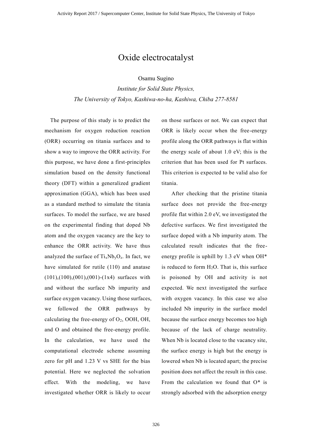### Oxide electrocatalyst

Osamu Sugino

*Institute for Solid State Physics, The University of Tokyo, Kashiwa-no-ha, Kashiwa, Chiba 277-8581*

The purpose of this study is to predict the mechanism for oxygen reduction reaction (ORR) occurring on titania surfaces and to show a way to improve the ORR activity. For this purpose, we have done a first-principles simulation based on the density functional theory (DFT) within a generalized gradient approximation (GGA), which has been used as a standard method to simulate the titania surfaces. To model the surface, we are based on the experimental finding that doped Nb atom and the oxygen vacancy are the key to enhance the ORR activity. We have thus analyzed the surface of  $Ti_xNb_yO_z$ . In fact, we have simulated for rutile (110) and anatase  $(101), (100), (001), (001)$ - $(1x4)$  surfaces with and without the surface Nb impurity and surface oxygen vacancy. Using those surfaces, we followed the ORR pathways by calculating the free-energy of  $O_2$ , OOH, OH, and O and obtained the free-energy profile. In the calculation, we have used the computational electrode scheme assuming zero for pH and 1.23 V vs SHE for the bias potential. Here we neglected the solvation effect. With the modeling, we have investigated whether ORR is likely to occur

on those surfaces or not. We can expect that ORR is likely occur when the free-energy profile along the ORR pathways is flat within the energy scale of about 1.0 eV; this is the criterion that has been used for Pt surfaces. This criterion is expected to be valid also for titania.

 After checking that the pristine titania surface does not provide the free-energy profile flat within 2.0 eV, we investigated the defective surfaces. We first investigated the surface doped with a Nb impurity atom. The calculated result indicates that the freeenergy profile is uphill by 1.3 eV when OH\* is reduced to form  $H<sub>2</sub>O$ . That is, this surface is poisoned by OH and activity is not expected. We next investigated the surface with oxygen vacancy. In this case we also included Nb impurity in the surface model because the surface energy becomes too high because of the lack of charge neutrality. When Nb is located close to the vacancy site, the surface energy is high but the energy is lowered when Nb is located apart; the precise position does not affect the result in this case. From the calculation we found that  $O^*$  is strongly adsorbed with the adsorption energy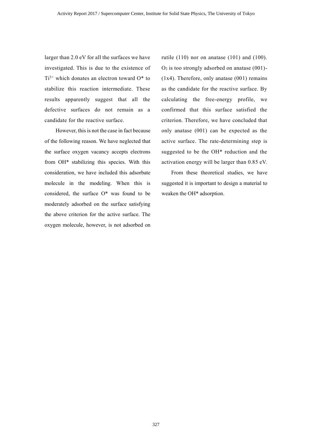larger than 2.0 eV for all the surfaces we have investigated. This is due to the existence of  $Ti<sup>3+</sup>$  which donates an electron toward  $O^*$  to stabilize this reaction intermediate. These results apparently suggest that all the defective surfaces do not remain as a candidate for the reactive surface.

 However, this is not the case in fact because of the following reason. We have neglected that the surface oxygen vacancy accepts electrons from OH\* stabilizing this species. With this consideration, we have included this adsorbate molecule in the modeling. When this is considered, the surface O\* was found to be moderately adsorbed on the surface satisfying the above criterion for the active surface. The oxygen molecule, however, is not adsorbed on

rutile  $(110)$  nor on anatase  $(101)$  and  $(100)$ .  $O<sub>2</sub>$  is too strongly adsorbed on anatase (001)-(1x4). Therefore, only anatase (001) remains as the candidate for the reactive surface. By calculating the free-energy profile, we confirmed that this surface satisfied the criterion. Therefore, we have concluded that only anatase (001) can be expected as the active surface. The rate-determining step is suggested to be the OH\* reduction and the activation energy will be larger than 0.85 eV.

 From these theoretical studies, we have suggested it is important to design a material to weaken the OH\* adsorption.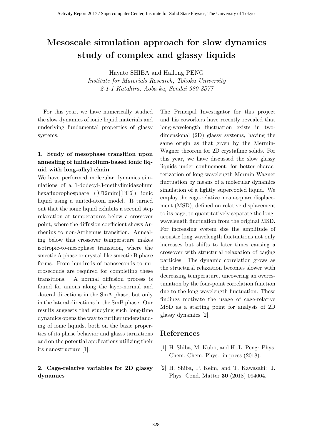# **Mesoscale simulation approach for slow dynamics study of complex and glassy liquids**

Hayato SHIBA and Hailong PENG

*Institute for Materials Research, Tohoku University 2-1-1 Katahira, Aoba-ku, Sendai 980-8577*

For this year, we have numerically studied the slow dynamics of ionic liquid materials and underlying fundamental properties of glassy systems.

#### **1. Study of mesophase transition upon annealing of imidazolium-based ionic liquid with long-alkyl chain**

We have performed molecular dynamics simulations of a 1-dodecyl-3-methylimidazolium hexafluorophosphate ([C12mim][PF6]) ionic liquid using a united-atom model. It turned out that the ionic liquid exhibits a second step relaxation at temperatures below a crossover point, where the diffusion coefficient shows Arrhenius to non-Arrhenius transition. Annealing below this crossover temperature makes isotropic-to-mesophase transition, where the smectic A phase or crystal-like smectic B phase forms. From hundreds of nanoseconds to microseconds are required for completing these transitions. A normal diffusion process is found for anions along the layer-normal and -lateral directions in the SmA phase, but only in the lateral directions in the SmB phase. Our results suggests that studying such long-time dynamics opens the way to further understanding of ionic liquids, both on the basic properties of its phase behavior and glasss tarnsitions and on the potential applications utilizing their its nanostructure [1].

#### **2. Cage-relative variables for 2D glassy dynamics**

The Principal Investigator for this project and his coworkers have recently revealed that long-wavelength fluctuation exists in twodimensional (2D) glassy systems, having the same origin as that given by the Mermin-Wagner theorem for 2D crystalline solids. For this year, we have discussed the slow glassy liquids under confinement, for better characterization of long-wavelength Mermin Wagner fluctuation by means of a molecular dynamics simulation of a lightly supercooled liquid. We employ the cage-relative mean-square displacement (MSD), defined on relative displacement to its cage, to quantitatively separate the longwavelength fluctuation from the original MSD. For increasing system size the amplitude of acoustic long wavelength fluctuations not only increases but shifts to later times causing a crossover with structural relaxation of caging particles. The dynamic correlation grows as the structural relaxation becomes slower with decreasing temperature, uncovering an overestimation by the four-point correlation function due to the long-wavelength fluctuation. These findings motivate the usage of cage-relative MSD as a starting point for analysis of 2D glassy dynamics [2].

- [1] H. Shiba, M. Kubo, and H.-L. Peng: Phys. Chem. Chem. Phys., in press (2018).
- [2] H. Shiba, P. Keim, and T. Kawasaki: J. Phys: Cond. Matter **30** (2018) 094004.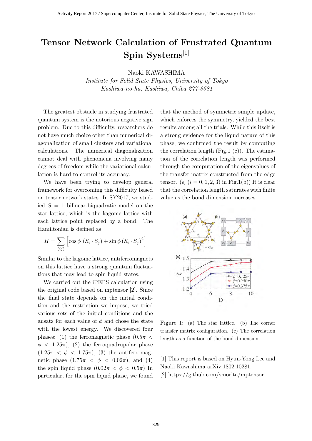# **Tensor Network Calculation of Frustrated Quantum Spin Systems**[1]

Naoki KAWASHIMA

*Institute for Solid State Physics, University of Tokyo Kashiwa-no-ha, Kashiwa, Chiba 277-8581*

The greatest obstacle in studying frustrated quantum system is the notorious negative sign problem. Due to this difficulty, researchers do not have much choice other than numerical diagonalization of small clusters and variational calculations. The numerical diagonalization cannot deal with phenomena involving many degrees of freedom while the variational calculation is hard to control its accuracy.

We have been trying to develop general framework for overcoming this difficulty based on tensor network states. In SY2017, we studied *S* = 1 bilinear-biquadratic model on the star lattice, which is the kagome lattice with each lattice point replaced by a bond. The Hamiltonian is defined as

$$
H = \sum_{(ij)} \left[ \cos \phi \left( S_i \cdot S_j \right) + \sin \phi \left( S_i \cdot S_j \right)^2 \right]
$$

Similar to the kagome lattice, antiferromagnets on this lattice have a strong quantum fluctuations that may lead to spin liquid states.

We carried out the iPEPS calculation using the original code based on mptensor [2]. Since the final state depends on the initial condition and the restriction we impose, we tried various sets of the initial conditions and the ansatz for each value of  $\phi$  and chose the state with the lowest energy. We discovered four phases: (1) the ferromagnetic phase (0*.*5*π <*  $\phi$  < 1.25 $\pi$ ), (2) the ferroquadrupolar phase  $(1.25\pi < \phi < 1.75\pi)$ , (3) the antiferromagnetic phase  $(1.75\pi < \phi < 0.02\pi)$ , and (4) the spin liquid phase  $(0.02\pi < \phi < 0.5\pi)$  In particular, for the spin liquid phase, we found that the method of symmetric simple update, which enforces the symmetry, yielded the best results among all the trials. While this itself is a strong evidence for the liquid nature of this phase, we confirmed the result by computing the correlation length (Fig.1  $(c)$ ). The estimation of the correlation length was performed through the computation of the eigenvalues of the transfer matrix constructed from the edge tensor.  $(\epsilon_i$   $(i = 0, 1, 2, 3)$  in Fig.1(b)) It is clear that the correlation length saturates with finite value as the bond dimension increases.



Figure 1: (a) The star lattice. (b) The corner transfer matrix configuration. (c) The correlation length as a function of the bond dimension.

[1] This report is based on Hyun-Yong Lee and Naoki Kawashima arXiv:1802.10281.

[2] https://github.com/smorita/mptensor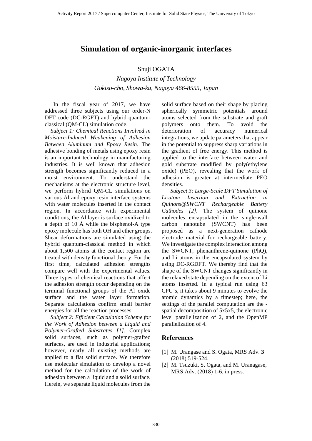### **Simulation of organic-inorganic interfaces**

#### Shuji OGATA

*Nagoya Institute of Technology Gokiso-cho, Showa-ku, Nagoya 466-8555, Japan*

 In the fiscal year of 2017, we have addressed three subjects using our order-N DFT code (DC-RGFT) and hybrid quantumclassical (QM-CL) simulation code.

 *Subject 1: Chemical Reactions Involved in Moisture-Induced Weakening of Adhesion Between Aluminum and Epoxy Resin.* The adhesive bonding of metals using epoxy resin is an important technology in manufacturing industries. It is well known that adhesion strength becomes significantly reduced in a moist environment. To understand the mechanisms at the electronic structure level, we perform hybrid QM-CL simulations on various Al and epoxy resin interface systems with water molecules inserted in the contact region. In accordance with experimental conditions, the Al layer is surface oxidized to a depth of 10 Å while the bisphenol-A type epoxy molecule has both OH and ether groups. Shear deformations are simulated using the hybrid quantum-classical method in which about 1,500 atoms at the contact region are treated with density functional theory. For the first time, calculated adhesion strengths compare well with the experimental values. Three types of chemical reactions that affect the adhesion strength occur depending on the terminal functional groups of the Al oxide surface and the water layer formation. Separate calculations confirm small barrier energies for all the reaction processes.

 *Subject 2: Efficient Calculation Scheme for the Work of Adhesion between a Liquid and Polymer-Grafted Substrates [1].* Complex solid surfaces, such as polymer-grafted surfaces, are used in industrial applications; however, nearly all existing methods are applied to a flat solid surface. We therefore use molecular simulation to develop a novel method for the calculation of the work of adhesion between a liquid and a solid surface. Herein, we separate liquid molecules from the

solid surface based on their shape by placing spherically symmetric potentials around atoms selected from the substrate and graft<br>nolvmers onto them. To avoid the polymers onto them. To avoid the deterioration of accuracy numerical integrations, we update parameters that appear in the potential to suppress sharp variations in the gradient of free energy. This method is applied to the interface between water and gold substrate modified by poly(ethylene oxide) (PEO), revealing that the work of adhesion is greater at intermediate PEO densities.

 *Subject 3: Large-Scale DFT Simulation of Li-atom Insertion and Extraction in Quinons@SWCNT Rechargeable Battery Cathodes [2].* The system of quinone molecules encapsulated in the single-wall carbon nanotube (SWCNT) has been proposed as a next-generation cathode electrode material for rechargeable battery. We investigate the complex interaction among the SWCNT, phenanthrene-quinone (PhQ), and Li atoms in the encapsulated system by using DC-RGDFT. We thereby find that the shape of the SWCNT changes significantly in the relaxed state depending on the extent of Li atoms inserted. In a typical run using 63 CPU's, it takes about 9 minutes to evolve the atomic dynamics by a timestep; here, the settings of the parallel computation are the spatial decomposition of 5x5x5, the electronic level parallelization of 2, and the OpenMP parallelization of 4.

- [1] M. Urangase and S. Ogata, MRS Adv. **3** (2018) 519-524.
- [2] M. Tsuzuki, S. Ogata, and M. Uranagase, MRS Adv. (2018) 1-6, in press.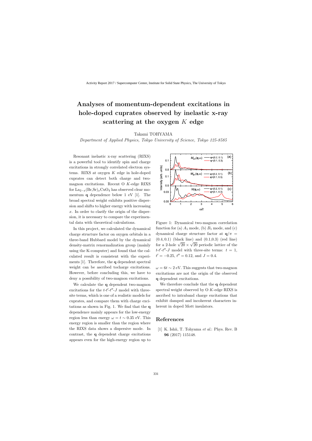# **Analyses of momentum-dependent excitations in hole-doped cuprates observed by inelastic x-ray scattering at the oxygen** *K* **edge**

Takami TOHYAMA

*Department of Applied Physics, Tokyo University of Science, Tokyo 125-8585*

Resonant inelastic x-ray scattering (RIXS) is a powerful tool to identify spin and charge excitations in strongly correlated electron systems. RIXS at oxygen *K* edge in hole-doped cuprates can detect both charge and twomagnon excitations. Recent O *K*-edge RIXS for  $\text{La}_{2-x}(\text{Br},\text{Sr})_x\text{CuO}_4$  has observed clear momentum **q** dependence below 1 eV [1]. The broad spectral weight exhibits positive dispersion and shifts to higher energy with increasing *x*. In order to clarify the origin of the dispersion, it is necessary to compare the experimental data with theoretical calculations.

In this project, we calculated the dynamical charge structure factor on oxygen orbitals in a three-band Hubbard model by the dynamical density-matrix renormalization group (mainly using the K-computer) and found that the calculated result is consistent with the experiments [1]. Therefore, the **q** dependent spectral weight can be ascribed tocharge excitations. However, before concluding this, we have to deny a possibility of two-magnon excitations.

We calculate the **q** dependent two-magnon excitations for the  $t$ - $t'$ - $t''$ - $J$  model with threesite terms, which is one of a realistic models for cuprates, and compare them with charge excitations as shown in Fig. 1. We find that the **q** dependence mainly appears for the low-energy region less than energy  $\omega = t \sim 0.35$  eV. This energy region is smaller than the region where the RIXS data shows a dispersive mode. In contrast, the **q** dependent charge excitations appears even for the high-energy region up to



Figure 1: Dynamical two-magnon correlation function for (a)  $A_1$  mode, (b)  $B_1$  mode, and (c) dynamical charge structure factor at  $q/\pi$  =  $(0.4, 0.1)$  (black line) and  $(0.1, 0.3)$  (red line) for a 2-hole  $\sqrt{20} \times \sqrt{20}$  periodic lattice of the  $t$ <sup>-*t'*-*t''*-*J* model with three-site terms:  $t = 1$ ,</sup>  $t' = -0.25, t'' = 0.12, \text{ and } J = 0.4.$ 

 $\omega = 6t \sim 2$  eV. This suggests that two-magnon excitations are not the origin of the observed **q** dependent excitations.

We therefore conclude that the **q** dependent spectral weight observed by O *K*-edge RIXS is ascribed to intraband charge excitations that exhibit damped and incoherent characters inherent in doped Mott insulators.

#### **References**

[1] K. Ishii, T. Tohyama *et al*.: Phys. Rev. B **96** (2017) 115148.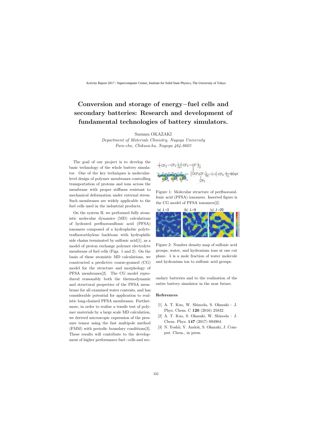# **Conversion and storage of energy***−***fuel cells and secondary batteries: Research and development of fundamental technologies of battery simulators.**

Susumu OKAZAKI

*Department of Materials Chmistry, Nagoya University Furo-cho, Chikusa-ku, Nagoya 464-8603*

The goal of our project is to develop the basic technology of the whole battery simulator. One of the key techniques is molecularlevel design of polymer membranes controlling transportation of protons and ions across the membrane with proper stiffness resistant to mechanical deformation under external stress. Such membranes are widely applicable to the fuel cells used in the industrial products.

On the system B, we performed fully atomistic molecular dynamics (MD) calculations of hydrated perfluorosulfonic acid (PFSA) ionomers composed of a hydrophobic polytetrafluoroethylene backbone with hydrophilic side chains terminated by sulfonic acid[1], as a model of proton exchange polymer electrolyte membrane of fuel cells (Figs. 1 and 2). On the basis of these atomistic MD calculations, we constructed a predictive coarse-grained (CG) model for the structure and morphology of PFSA membranes[2]. The CG model reproduced reasonably both the thermodynamic and structural properties of the PFSA membrane for all examined water contents, and has considerable potential for application to realistic long-chained PFSA membranes. Furthermore, in order to realize a tensile test of polymer materials by a large scale MD calculation, we derived microscopic expression of the pressure tensor using the fast multipole method (FMM) with periodic boundary conditions[3]. These results will contribute to the development of higher performance fuel*−*cells and sec-



Figure 1: Molecular structure of perfluorosulfonic acid (PFSA) ionomers. Inserted figure is the CG model of PFSA ionomers[2].



Figure 2: Number density map of sulfonic acid groups, water, and hydronium ions at one cut plane.  $\lambda$  is a mole fraction of water molecule and hydronium ion to sulfonic acid groups.

ondary batteries and to the realization of the entire battery simulator in the near future.

- [1] A. T. Kuo, W. Shinoda, S. Okazaki : J. Phys. Chem. C **120** (2016) 25832.
- [2] A. T. Kuo, S. Okazaki, W. Shinoda : J. Chem. Phys. **147** (2017) 094904.
- [3] N. Yoshii, Y. Andoh, S. Okazaki, J. Comput. Chem., in press.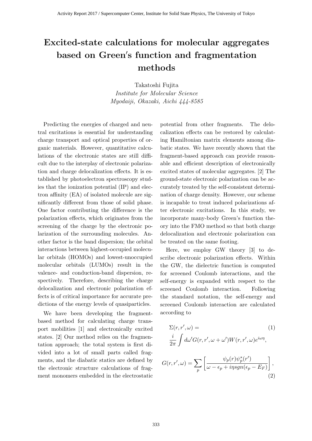# **Excited-state calculations for molecular aggregates based on Green***′* **s function and fragmentation methods**

Takatoshi Fujita *Institute for Molecular Science Myodaiji, Okazaki, Aichi 444-8585*

Predicting the energies of charged and neutral excitations is essential for understanding charge transport and optical properties of organic materials. However, quantitative calculations of the electronic states are still difficult due to the interplay of electronic polarization and charge delocalization effects. It is established by photoelectron spectroscopy studies that the ionization potential (IP) and electron affinity (EA) of isolated molecule are significantly different from those of solid phase. One factor contributing the difference is the polarization effects, which originates from the screening of the charge by the electronic polarization of the surrounding molecules. Another factor is the band dispersion; the orbital interactions between highest-occupied molecular orbitals (HOMOs) and lowest-unoccupied molecular orbitals (LUMOs) result in the valence- and conduction-band dispersion, respectively. Therefore, describing the charge delocalization and electronic polarization effects is of critical importance for accurate predictions of the energy levels of quasiparticles.

We have been developing the fragmentbased method for calculating charge transport mobilities [1] and electronically excited states. [2] Our method relies on the fragmentation approach; the total system is first divided into a lot of small parts called fragments, and the diabatic statics are defined by the electronic structure calculations of fragment monomers embedded in the electrostatic potential from other fragments. The delocalization effects can be restored by calculating Hamiltonian matrix elements among diabatic states. We have recently shown that the fragment-based approach can provide reasonable and efficient description of electronically excited states of molecular aggregates. [2] The ground-state electronic polarization can be accurately treated by the self-consistent determination of charge density. However, our scheme is incapable to treat induced polarizations after electronic excitations. In this study, we incorporate many-body Green's function theory into the FMO method so that both charge delocalization and electronic polarization can be treated on the same footing.

Here, we employ GW theory [3] to describe electronic polarization effects. Within the GW, the dielectric function is computed for screened Coulomb interactions, and the self-energy is expanded with respect to the screened Coulomb interaction. Following the standard notation, the self-energy and screened Coulomb interaction are calculated according to

$$
\Sigma(r, r', \omega) = \frac{i}{2\pi} \int d\omega' G(r, r', \omega + \omega') W(r, r', \omega) e^{i\omega \eta},
$$

$$
G(r, r', \omega) = \sum_{p} \left[ \frac{\psi_p(r) \psi_p^*(r')}{\omega - \epsilon_p + ingg n(\epsilon_p - E_F)} \right],
$$
(2)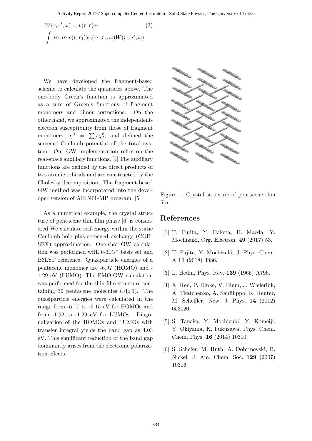$$
W(r,r',\omega) = v(r,r)+\tag{3}
$$

$$
\int dr_1 dr_1 v(r,r_1)\chi_0(r_1,r_2,\omega)W(r_2,r',\omega).
$$

We have developed the fragment-based scheme to calculate the quantities above. The one-body Green's function is approximated as a sum of Green's functions of fragment monomers and dimer corrections. On the other hand, we approximated the independentelectron susceptibility from those of fragment monomers,  $\chi^0 = \sum_I \chi_I^0$ , and defined the screened-Coulomb potential of the total system. Our GW implementation relies on the real-space auxiliary functions. [4] The auxiliary functions are defined by the direct products of two atomic orbitals and are constructed by the Cholesky decomposition. The fragment-based GW method was incorporated into the developer version of ABINIT-MP program. [5]

As a numerical example, the crystal structure of pentacene thin film phase [6] is considered We calculate self-energy within the static Coulomb-hole plus screened exchange (COH-SEX) approximation. One-shot GW calculation was performed with 6-31G\* basis set and B3LYP reference. Quasiparticle energies of a pentacene monomer are -6.97 (HOMO) and - 1.29 eV (LUMO). The FMO-GW calculation was performed for the thin film structure containing 39 pentacene molecules (Fig.1). The quasiparticle energies were calculated in the range from -6.77 to -6.15 eV for HOMOs and from -1.92 to -1.29 eV for LUMOs. Diagonalization of the HOMOs and LUMOs with transfer integral yields the band gap as 4.03 eV. This significant reduction of the band gap dominantly arises from the electronic polarization effects.



Figure 1: Crystal structure of pentacene thin film.

- [1] T. Fujita, Y. Haketa, H. Maeda, Y. Mochizuki, Org. Electron. **49** (2017) 53.
- [2] T. Fujita, Y. Mochizuki, J. Phys. Chem. A **11** (2018) 3886.
- [3] L. Hedin, Phys. Rev. **139** (1965) A796.
- [4] X. Ren, P. Rinke, V. Blum, J. Wieferink, A. Tkatchenko, A. Sanfilippo, K. Reuter, M. Scheffler, New. J. Phys. **14** (2012) 053020.
- [5] S. Tanaka. Y. Mochizuki, Y. Komeiji, Y. Okiyama, K. Fukuzawa, Phys. Chem. Chem. Phys. **16** (2014) 10310.
- [6] S. Schefer, M. Huth, A. Dobrinevski, B. Nickel, J. Am. Chem. Soc. **129** (2007) 10316.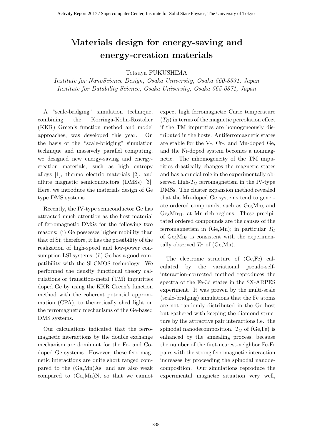# **Materials design for energy-saving and energy-creation materials**

Tetsuya FUKUSHIMA

*Institute for NanoScience Design, Osaka University, Osaka 560-8531, Japan Institute for Datability Science, Osaka University, Osaka 565-0871, Japan*

A "scale-bridging" simulation technique, combining the Korringa-Kohn-Rostoker (KKR) Green's function method and model approaches, was developed this year. On the basis of the "scale-bridging" simulation technique and massively parallel computing, we designed new energy-saving and energycreation materials, such as high entropy alloys [1], thermo electric materials [2], and dilute magnetic semiconductors (DMSs) [3]. Here, we introduce the materials design of Ge type DMS systems.

Recently, the IV-type semiconductor Ge has attracted much attention as the host material of ferromagnetic DMSs for the following two reasons: (i) Ge possesses higher mobility than that of Si; therefore, it has the possibility of the realization of high-speed and low-power consumption LSI systems; (ii) Ge has a good compatibility with the Si-CMOS technology. We performed the density functional theory calculations or transition-metal (TM) impurities doped Ge by using the KKR Green's function method with the coherent potential approximation (CPA), to theoretically shed light on the ferromagnetic mechanisms of the Ge-based DMS systems.

Our calculations indicated that the ferromagnetic interactions by the double exchange mechanism are dominant for the Fe- and Codoped Ge systems. However, these ferromagnetic interactions are quite short ranged compared to the (Ga,Mn)As, and are also weak compared to (Ga,Mn)N, so that we cannot expect high ferromagnetic Curie temperature  $(T<sub>C</sub>)$  in terms of the magnetic percolation effect if the TM impurities are homogeneously distributed in the hosts. Antiferromagnetic states are stable for the V-, Cr-, and Mn-doped Ge, and the Ni-doped system becomes a nonmagnetic. The inhomogeneity of the TM impurities drastically changes the magnetic states and has a crucial role in the experimentally observed high- $T_{\rm C}$  ferromagnetism in the IV-type DMSs. The cluster expansion method revealed that the Mn-doped Ge systems tend to generate ordered compounds, such as  $Ge<sub>3</sub>Mn<sub>5</sub>$  and  $Ge_8Mn_{11}$ , at Mn-rich regions. These precipitated ordered compounds are the causes of the ferromagnetism in  $(Ge, Mn)$ ; in particular  $T<sub>C</sub>$ of  $Ge<sub>3</sub>Mn<sub>5</sub>$  is consistent with the experimentally observed  $T_{\rm C}$  of (Ge,Mn).

The electronic structure of (Ge,Fe) calculated by the variational pseudo-selfinteraction-corrected method reproduces the spectra of the Fe-3d states in the SX-ARPES experiment. It was proven by the multi-scale (scale-bridging) simulations that the Fe atoms are not randomly distributed in the Ge host but gathered with keeping the diamond structure by the attractive pair interactions i.e., the spinodal nanodecomposition.  $T_{\rm C}$  of (Ge,Fe) is enhanced by the annealing process, because the number of the first-nearest-neighbor Fe-Fe pairs with the strong ferromagnetic interaction increases by proceeding the spinodal nanodecomposition. Our simulations reproduce the experimental magnetic situation very well,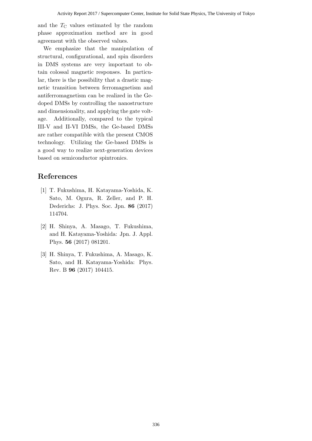and the  $T_{\rm C}$  values estimated by the random phase approximation method are in good agreement with the observed values.

We emphasize that the manipulation of structural, configurational, and spin disorders in DMS systems are very important to obtain colossal magnetic responses. In particular, there is the possibility that a drastic magnetic transition between ferromagnetism and antiferromagnetism can be realized in the Gedoped DMSs by controlling the nanostructure and dimensionality, and applying the gate voltage. Additionally, compared to the typical III-V and II-VI DMSs, the Ge-based DMSs are rather compatible with the present CMOS technology. Utilizing the Ge-based DMSs is a good way to realize next-generation devices based on semiconductor spintronics.

- [1] T. Fukushima, H. Katayama-Yoshida, K. Sato, M. Ogura, R. Zeller, and P. H. Dederichs: J. Phys. Soc. Jpn. **86** (2017) 114704.
- [2] H. Shinya, A. Masago, T. Fukushima, and H. Katayama-Yoshida: Jpn. J. Appl. Phys. **56** (2017) 081201.
- [3] H. Shinya, T. Fukushima, A. Masago, K. Sato, and H. Katayama-Yoshida: Phys. Rev. B **96** (2017) 104415.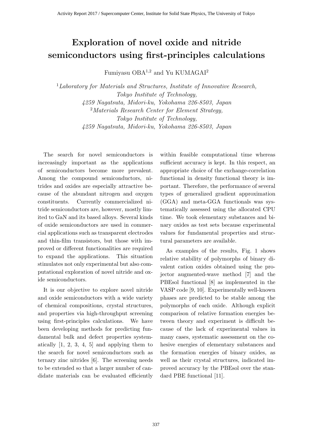# **Exploration of novel oxide and nitride semiconductors using first-principles calculations**

Fumiyasu OBA<sup>1</sup>*,*<sup>2</sup> and Yu KUMAGAI<sup>2</sup>

<sup>1</sup>*Laboratory for Materials and Structures, Institute of Innovative Research, Tokyo Institute of Technology, 4259 Nagatsuta, Midori-ku, Yokohama 226-8503, Japan* <sup>2</sup>*Materials Research Center for Element Strategy, Tokyo Institute of Technology, 4259 Nagatsuta, Midori-ku, Yokohama 226-8503, Japan*

The search for novel semiconductors is increasingly important as the applications of semiconductors become more prevalent. Among the compound semiconductors, nitrides and oxides are especially attractive because of the abundant nitrogen and oxygen constituents. Currently commercialized nitride semiconductors are, however, mostly limited to GaN and its based alloys. Several kinds of oxide semiconductors are used in commercial applications such as transparent electrodes and thin-film transistors, but those with improved or different functionalities are required to expand the applications. This situation stimulates not only experimental but also computational exploration of novel nitride and oxide semiconductors.

It is our objective to explore novel nitride and oxide semiconductors with a wide variety of chemical compositions, crystal structures, and properties via high-throughput screening using first-principles calculations. We have been developing methods for predicting fundamental bulk and defect properties systematically [1, 2, 3, 4, 5] and applying them to the search for novel semiconductors such as ternary zinc nitrides [6]. The screening needs to be extended so that a larger number of candidate materials can be evaluated efficiently within feasible computational time whereas sufficient accuracy is kept. In this respect, an appropriate choice of the exchange-correlation functional in density functional theory is important. Therefore, the performance of several types of generalized gradient approximation (GGA) and meta-GGA functionals was systematically assessed using the allocated CPU time. We took elementary substances and binary oxides as test sets because experimental values for fundamental properties and structural parameters are available.

As examples of the results, Fig. 1 shows relative stability of polymorphs of binary divalent cation oxides obtained using the projector augmented-wave method [7] and the PBEsol functional [8] as implemented in the VASP code [9, 10]. Experimentally well-known phases are predicted to be stable among the polymorphs of each oxide. Although explicit comparison of relative formation energies between theory and experiment is difficult because of the lack of experimental values in many cases, systematic assessment on the cohesive energies of elementary substances and the formation energies of binary oxides, as well as their crystal structures, indicated improved accuracy by the PBEsol over the standard PBE functional [11].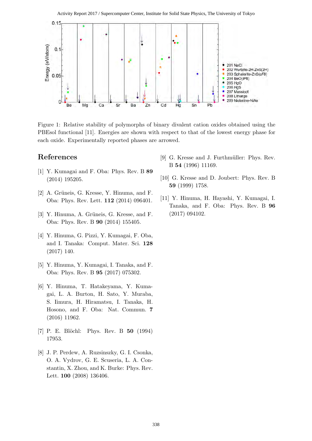

Figure 1: Relative stability of polymorphs of binary divalent cation oxides obtained using the PBEsol functional [11]. Energies are shown with respect to that of the lowest energy phase for each oxide. Experimentally reported phases are arrowed.

- [1] Y. Kumagai and F. Oba: Phys. Rev. B **89** (2014) 195205.
- [2] A. Grüneis, G. Kresse, Y. Hinuma, and F. Oba: Phys. Rev. Lett. **112** (2014) 096401.
- [3] Y. Hinuma, A. Grüneis, G. Kresse, and F. Oba: Phys. Rev. B **90** (2014) 155405.
- [4] Y. Hinuma, G. Pizzi, Y. Kumagai, F. Oba, and I. Tanaka: Comput. Mater. Sci. **128** (2017) 140.
- [5] Y. Hinuma, Y. Kumagai, I. Tanaka, and F. Oba: Phys. Rev. B **95** (2017) 075302.
- [6] Y. Hinuma, T. Hatakeyama, Y. Kumagai, L. A. Burton, H. Sato, Y. Muraba, S. Iimura, H. Hiramatsu, I. Tanaka, H. Hosono, and F. Oba: Nat. Commun. **7** (2016) 11962.
- [7] P. E. Blöchl: Phys. Rev. B **50** (1994) 17953.
- [8] J. P. Perdew, A. Ruzsinszky, G. I. Csonka, O. A. Vydrov, G. E. Scuseria, L. A. Constantin, X. Zhou, and K. Burke: Phys. Rev. Lett. **100** (2008) 136406.
- [9] G. Kresse and J. Furthmüller: Phys. Rev. B **54** (1996) 11169.
- [10] G. Kresse and D. Joubert: Phys. Rev. B **59** (1999) 1758.
- [11] Y. Hinuma, H. Hayashi, Y. Kumagai, I. Tanaka, and F. Oba: Phys. Rev. B **96** (2017) 094102.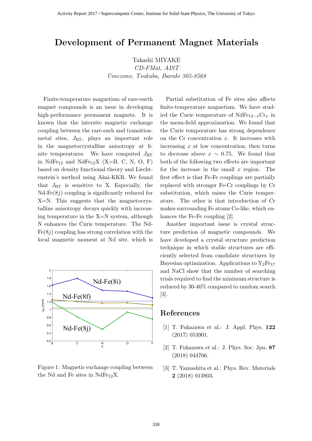### **Development of Permanent Magnet Materials**

Takashi MIYAKE

*CD-FMat, AIST Umezono, Tsukuba, Ibaraki 305-8568*

Finite-temperature magnetism of rare-earth magnet compounds is an issue in developing high-performance permanent magnets. It is known that the intersite magnetic exchange coupling between the rare-earh and transitionmetal sites, *J*RT, plays an important role in the magnetocrystalline anisotropy at finite temperatures. We have computed  $J_{\rm RT}$ in NdFe<sub>12</sub> and NdFe<sub>12</sub>X (X=B, C, N, O, F) based on density functional theory and Liechtenstein's method using Akai-KKR. We found that  $J_{\rm RT}$  is sensitive to X. Especially, the Nd-Fe(8*j*) coupling is significantly reduced for X=N. This suggests that the magnetocrystalline anisotropy decays quickly with increasing temperature in the X=N system, although N enhances the Curie temperature. The Nd- $Fe(8j)$  coupling has strong correlation with the local magnetic moment at Nd site, which is



Figure 1: Magnetic exchange coupling between the Nd and Fe sites in  $NdFe_{12}X$ .

Partial substitution of Fe sites also affects finite-temperature magnetism. We have studied the Curie temperature of NdFe12*−x*Cr*<sup>x</sup>* in the mean-field approximation. We found that the Curie temperature has strong dependence on the Cr concentration *x*. It increases with increasing *x* at low concentration, then turns to decrease above  $x \sim 0.75$ . We found that both of the following two effects are important for the increase in the small *x* region. The first effect is that Fe-Fe couplings are partially replaced with stronger Fe-Cr couplings by Cr substitution, which raises the Curie temperature. The other is that introduction of Cr makes surrounding Fe atoms Co-like, which enhances the Fe-Fe coupling [2].

Another important issue is crystal structure prediction of magnetic compounds. We have developed a crystal structure prediction technique in which stable structures are efficiently selected from candidate structures by Bayesian optimization. Applications to  $Y_2Fe_{17}$ and NaCl show that the number of searching trials required to find the minimum structure is reduced by 30-40% compared to random search [3].

- [1] T. Fukazawa et al.: J. Appl. Phys. **122** (2017) 053901.
- [2] T. Fukazawa et al.: J. Phys. Soc. Jpn. **87** (2018) 044706.
- [3] T. Yamashita et al.: Phys. Rev. Materials **2** (2018) 013803.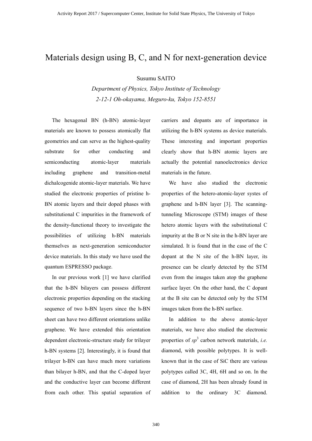### Materials design using B, C, and N for next-generation device

Susumu SAITO

*Department of Physics, Tokyo Institute of Technology 2-12-1 Oh-okayama, Meguro-ku, Tokyo 152-8551*

The hexagonal BN (h-BN) atomic-layer materials are known to possess atomically flat geometries and can serve as the highest-quality substrate for other conducting and semiconducting atomic-layer materials including graphene and transition-metal dichalcogenide atomic-layer materials. We have studied the electronic properties of pristine h-BN atomic layers and their doped phases with substitutional C impurities in the framework of the density-functional theory to investigate the possibilities of utilizing h-BN materials themselves as next-generation semiconductor device materials. In this study we have used the quantum ESPRESSO package.

In our previous work [1] we have clarified that the h-BN bilayers can possess different electronic properties depending on the stacking sequence of two h-BN layers since the h-BN sheet can have two different orientations unlike graphene. We have extended this orientation dependent electronic-structure study for trilayer h-BN systems [2]. Interestingly, it is found that trilayer h-BN can have much more variations than bilayer h-BN, and that the C-doped layer and the conductive layer can become different from each other. This spatial separation of carriers and dopants are of importance in utilizing the h-BN systems as device materials. These interesting and important properties clearly show that h-BN atomic layers are actually the potential nanoelectronics device materials in the future.

We have also studied the electronic properties of the hetero-atomic-layer systes of graphene and h-BN layer [3]. The scanningtunneling Microscope (STM) images of these hetero atomic layers with the substitutional C impurity at the B or N site in the h-BN layer are simulated. It is found that in the case of the C dopant at the N site of the h-BN layer, its presence can be clearly detected by the STM even from the images taken atop the graphene surface layer. On the other hand, the C dopant at the B site can be detected only by the STM images taken from the h-BN surface.

In addition to the above atomic-layer materials, we have also studied the electronic properties of  $sp^3$  carbon network materials, *i.e.* diamond, with possible polytypes. It is wellknown that in the case of SiC there are various polytypes called 3C, 4H, 6H and so on. In the case of diamond, 2H has been already found in addition to the ordinary 3C diamond.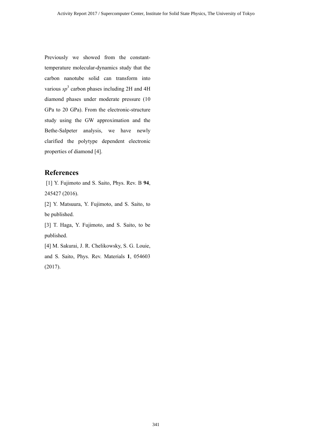Previously we showed from the constanttemperature molecular-dynamics study that the carbon nanotube solid can transform into various  $sp^3$  carbon phases including 2H and 4H diamond phases under moderate pressure (10 GPa to 20 GPa). From the electronic-structure study using the GW approximation and the Bethe-Salpeter analysis, we have newly clarified the polytype dependent electronic properties of diamond [4].

#### **References**

 [1] Y. Fujimoto and S. Saito, Phys. Rev. B **94**, 245427 (2016).

[2] Y. Matsuura, Y. Fujimoto, and S. Saito, to be published.

[3] T. Haga, Y. Fujimoto, and S. Saito, to be published.

[4] M. Sakurai, J. R. Chelikowsky, S. G. Louie, and S. Saito, Phys. Rev. Materials **1**, 054603 (2017).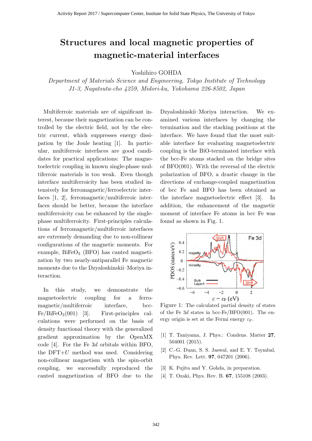### **Structures and local magnetic properties of magnetic-material interfaces**

Yoshihiro GOHDA

*Department of Materials Science and Engineering, Tokyo Institute of Technology J1-3, Nagatsuta-cho 4259, Midori-ku, Yokohama 226-8502, Japan*

Multiferroic materials are of significant interest, because their magnetization can be controlled by the electric field, not by the electric current, which suppresses energy dissipation by the Joule heating [1]. In particular, multiferroic interfaces are good candidates for practical applications: The magnetoelectric coupling in known single-phase multiferroic materials is too weak. Even though interface multiferroicity has been studied intensively for ferromagnetic/ferroelectric interfaces [1, 2], ferromagnetic/multiferroic interfaces should be better, because the interface multiferroicity can be enhanced by the singlephase multiferroicity. First-principles calculations of ferromagnetic/multiferroic interfaces are extremely demanding due to non-collinear configurations of the magnetic moments. For example,  $BiFeO<sub>3</sub>$  (BFO) has canted magnetization by two nearly-antiparallel Fe magnetic moments due to the Dzyaloshinskii–Moriya interaction.

In this study, we demonstrate the magnetoelectric coupling for a ferromagnetic/multiferroic interface, bcc- $Fe/BiFeO<sub>3</sub>(001)$  [3]. First-principles calculations were performed on the basis of density functional theory with the generalized gradient approximation by the OpenMX code [4]. For the Fe 3*d* orbitals within BFO, the DFT+*U* method was used. Considering non-collinear magnetism with the spin-orbit coupling, we successfully reproduced the canted magnetization of BFO due to the

Dzyaloshinskii–Moriya interaction. We examined various interfaces by changing the termination and the stacking positions at the interface. We have found that the most suitable interface for evaluating magnetoelectric coupling is the BiO-terminated interface with the bcc-Fe atoms stacked on the bridge sites of BFO(001). With the reversal of the electric polarization of BFO, a drastic change in the directions of exchange-coupled magnetization of bcc Fe and BFO has been obtained as the interface magnetoelectric effect [3]. In addition, the enhancement of the magnetic moment of interface Fe atoms in bcc Fe was found as shown in Fig. 1.



Figure 1: The calculated partial density of states of the Fe 3*d* states in bcc-Fe/BFO(001). The energy origin is set at the Fermi energy  $\varepsilon_F$ .

- [1] T. Taniyama, J. Phys.: Condens. Matter **27**, 504001 (2015).
- [2] C.-G. Duan, S. S. Jaswal, and E. Y. Tsymbal, Phys. Rev. Lett. **97**, 047201 (2006).
- [3] K. Fujita and Y. Gohda, in preparation.
- [4] T. Ozaki, Phys. Rev. B. **67**, 155108 (2003).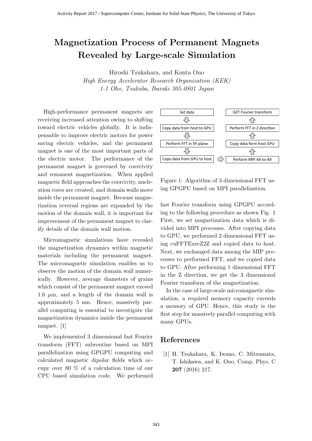# **Magnetization Process of Permanent Magnets Revealed by Large-scale Simulation**

Hiroshi Tsukahara, and Kanta Ono *High Energy Accelerator Research Organization (KEK) 1-1 Oho, Tsukuba, Ibaraki 305-0801 Japan*

High-performance permanent magnets are receiving increased attention owing to shifting toward electric vehicles globally. It is indispensable to improve electric motors for power saving electric vehicles, and the permanent magnet is one of the most important parts of the electric motor. The performance of the permanent magnet is governed by coercivity and remanent magnetization. When applied magnetic eld approaches the coercivity, nucleation cores are created, and domain walls move inside the permanent magnet. Because magnetization reversal regions are expanded by the motion of the domain wall, it is important for improvement of the permanent magnet to clarify details of the domain wall motion.

Micromagnetic simulations have revealed the magnetization dynamics within magnetic materials including the permanent magnet. The micromagnetic simulation enables us to observe the motion of the domain wall numerically. However, average diameters of grains which consist of the permanent magnet exceed 1.0  $\mu$ m, and a length of the domain wall is approximately 5 nm. Hence, massively parallel computing is essential to investigate the magnetization dynamics inside the permanent magnet. [1]

We implemented 3 dimensional fast Fourier transform (FFT) subroutine based on MPI parallelization using GPGPU computing and calculated magnetic dipolar elds which occupy over 80 % of a calculation time of our CPU based simulation code. We performed



Figure 1: Algorithm of 3 dimensional FFT using GPGPU based on MPI parallelization.

fast Fourier transform using GPGPU according to the following procedure as shown Fig. 1 First, we set magnetization data which is divided into MPI processes. After copying data to GPU, we performed 2 dimensional FFT using cuFFTExecZ2Z and copied data to host. Next, we exchanged data among the MIP processes to performed FFT, and we copied data to GPU. After performing 1 dimensional FFT in the Z direction, we get the 3 dimensional Fourier transform of the magnetization.

In the case of large-scale micromagnetic simulation, a required memory capacity exceeds a memory of GPU. Hence, this study is the rst step for massively parallel computing with many GPUs.

#### **References**

[1] H. Tsukahara, K. Iwano, C. Mitsumata, T. Ishikawa, and K. Ono, Comp. Phys. C **207** (2016) 217.